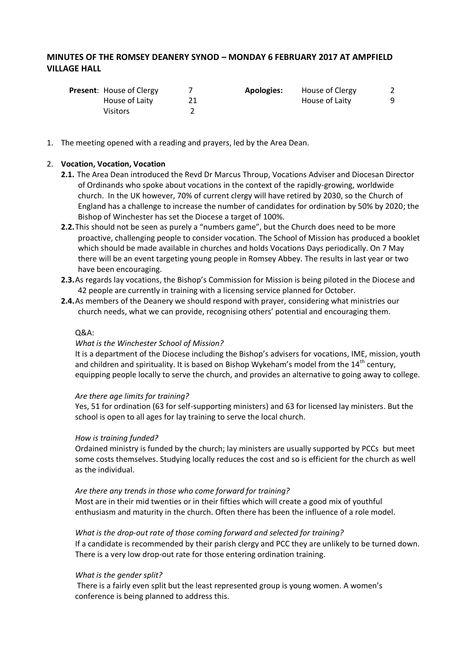# **MINUTES OF THE ROMSEY DEANERY SYNOD – MONDAY 6 FEBRUARY 2017 AT AMPFIELD VILLAGE HALL**

| <b>Present:</b> House of Clergy | <b>Apologies:</b> | House of Clergy |   |
|---------------------------------|-------------------|-----------------|---|
| House of Laity                  |                   | House of Laity  | q |
| Visitors                        |                   |                 |   |

1. The meeting opened with a reading and prayers, led by the Area Dean.

#### 2. **Vocation, Vocation, Vocation**

- **2.1.** The Area Dean introduced the Revd Dr Marcus Throup, Vocations Adviser and Diocesan Director of Ordinands who spoke about vocations in the context of the rapidly-growing, worldwide church. In the UK however, 70% of current clergy will have retired by 2030, so the Church of England has a challenge to increase the number of candidates for ordination by 50% by 2020; the Bishop of Winchester has set the Diocese a target of 100%.
- **2.2.**This should not be seen as purely a "numbers game", but the Church does need to be more proactive, challenging people to consider vocation. The School of Mission has produced a booklet which should be made available in churches and holds Vocations Days periodically. On 7 May there will be an event targeting young people in Romsey Abbey. The results in last year or two have been encouraging.
- **2.3.**As regards lay vocations, the Bishop's Commission for Mission is being piloted in the Diocese and 42 people are currently in training with a licensing service planned for October.
- **2.4.**As members of the Deanery we should respond with prayer, considering what ministries our church needs, what we can provide, recognising others' potential and encouraging them.

#### Q&A:

#### *What is the Winchester School of Mission?*

It is a department of the Diocese including the Bishop's advisers for vocations, IME, mission, youth and children and spirituality. It is based on Bishop Wykeham's model from the  $14<sup>th</sup>$  century, equipping people locally to serve the church, and provides an alternative to going away to college.

#### *Are there age limits for training?*

Yes, 51 for ordination (63 for self-supporting ministers) and 63 for licensed lay ministers. But the school is open to all ages for lay training to serve the local church.

#### *How is training funded?*

Ordained ministry is funded by the church; lay ministers are usually supported by PCCs but meet some costs themselves. Studying locally reduces the cost and so is efficient for the church as well as the individual.

#### *Are there any trends in those who come forward for training?*

Most are in their mid twenties or in their fifties which will create a good mix of youthful enthusiasm and maturity in the church. Often there has been the influence of a role model.

#### *What is the drop-out rate of those coming forward and selected for training?*

If a candidate is recommended by their parish clergy and PCC they are unlikely to be turned down. There is a very low drop-out rate for those entering ordination training.

#### *What is the gender split?*

There is a fairly even split but the least represented group is young women. A women's conference is being planned to address this.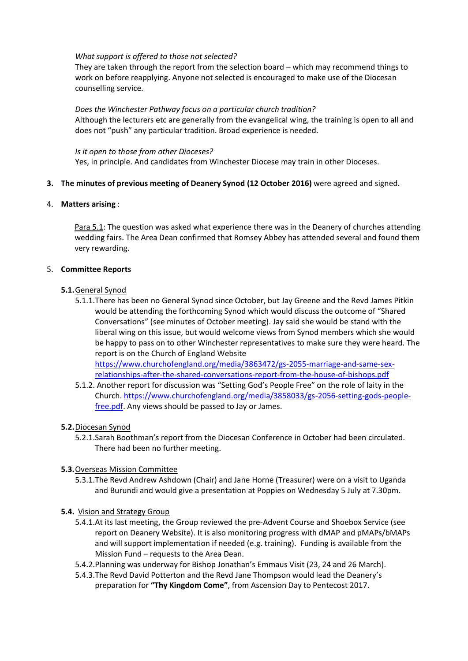#### *What support is offered to those not selected?*

They are taken through the report from the selection board – which may recommend things to work on before reapplying. Anyone not selected is encouraged to make use of the Diocesan counselling service.

*Does the Winchester Pathway focus on a particular church tradition?* Although the lecturers etc are generally from the evangelical wing, the training is open to all and does not "push" any particular tradition. Broad experience is needed.

# *Is it open to those from other Dioceses?*

Yes, in principle. And candidates from Winchester Diocese may train in other Dioceses.

#### **3. The minutes of previous meeting of Deanery Synod (12 October 2016)** were agreed and signed.

4. **Matters arising** :

Para 5.1: The question was asked what experience there was in the Deanery of churches attending wedding fairs. The Area Dean confirmed that Romsey Abbey has attended several and found them very rewarding.

#### 5. **Committee Reports**

#### **5.1.**General Synod

5.1.1.There has been no General Synod since October, but Jay Greene and the Revd James Pitkin would be attending the forthcoming Synod which would discuss the outcome of "Shared Conversations" (see minutes of October meeting). Jay said she would be stand with the liberal wing on this issue, but would welcome views from Synod members which she would be happy to pass on to other Winchester representatives to make sure they were heard. The report is on the Church of England Website [https://www.churchofengland.org/media/3863472/gs-2055-marriage-and-same-sex-](https://www.churchofengland.org/media/3863472/gs-2055-marriage-and-same-sex-relationships-after-the-shared-conversations-report-from-the-house-of-bishops.pdf)

[relationships-after-the-shared-conversations-report-from-the-house-of-bishops.pdf](https://www.churchofengland.org/media/3863472/gs-2055-marriage-and-same-sex-relationships-after-the-shared-conversations-report-from-the-house-of-bishops.pdf)

5.1.2. Another report for discussion was "Setting God's People Free" on the role of laity in the Church[. https://www.churchofengland.org/media/3858033/gs-2056-setting-gods-people](https://www.churchofengland.org/media/3858033/gs-2056-setting-gods-people-free.pdf)[free.pdf.](https://www.churchofengland.org/media/3858033/gs-2056-setting-gods-people-free.pdf) Any views should be passed to Jay or James.

# **5.2.**Diocesan Synod

5.2.1.Sarah Boothman's report from the Diocesan Conference in October had been circulated. There had been no further meeting.

# **5.3.**Overseas Mission Committee

5.3.1.The Revd Andrew Ashdown (Chair) and Jane Horne (Treasurer) were on a visit to Uganda and Burundi and would give a presentation at Poppies on Wednesday 5 July at 7.30pm.

# **5.4.** Vision and Strategy Group

- 5.4.1.At its last meeting, the Group reviewed the pre-Advent Course and Shoebox Service (see report on Deanery Website). It is also monitoring progress with dMAP and pMAPs/bMAPs and will support implementation if needed (e.g. training). Funding is available from the Mission Fund – requests to the Area Dean.
- 5.4.2.Planning was underway for Bishop Jonathan's Emmaus Visit (23, 24 and 26 March).
- 5.4.3.The Revd David Potterton and the Revd Jane Thompson would lead the Deanery's preparation for **"Thy Kingdom Come"**, from Ascension Day to Pentecost 2017.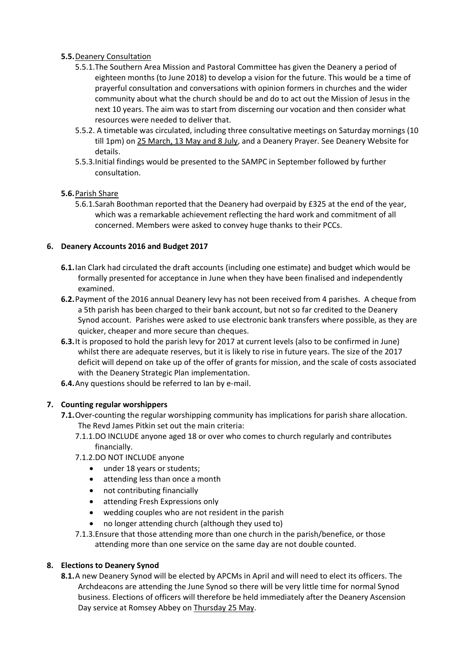# **5.5.**Deanery Consultation

- 5.5.1.The Southern Area Mission and Pastoral Committee has given the Deanery a period of eighteen months (to June 2018) to develop a vision for the future. This would be a time of prayerful consultation and conversations with opinion formers in churches and the wider community about what the church should be and do to act out the Mission of Jesus in the next 10 years. The aim was to start from discerning our vocation and then consider what resources were needed to deliver that.
- 5.5.2. A timetable was circulated, including three consultative meetings on Saturday mornings (10 till 1pm) on 25 March, 13 May and 8 July, and a Deanery Prayer. See Deanery Website for details.
- 5.5.3.Initial findings would be presented to the SAMPC in September followed by further consultation.

# **5.6.**Parish Share

5.6.1.Sarah Boothman reported that the Deanery had overpaid by £325 at the end of the year, which was a remarkable achievement reflecting the hard work and commitment of all concerned. Members were asked to convey huge thanks to their PCCs.

# **6. Deanery Accounts 2016 and Budget 2017**

- **6.1.**Ian Clark had circulated the draft accounts (including one estimate) and budget which would be formally presented for acceptance in June when they have been finalised and independently examined.
- **6.2.**Payment of the 2016 annual Deanery levy has not been received from 4 parishes. A cheque from a 5th parish has been charged to their bank account, but not so far credited to the Deanery Synod account. Parishes were asked to use electronic bank transfers where possible, as they are quicker, cheaper and more secure than cheques.
- **6.3.**It is proposed to hold the parish levy for 2017 at current levels (also to be confirmed in June) whilst there are adequate reserves, but it is likely to rise in future years. The size of the 2017 deficit will depend on take up of the offer of grants for mission, and the scale of costs associated with the Deanery Strategic Plan implementation.
- **6.4.**Any questions should be referred to Ian by e-mail.

# **7. Counting regular worshippers**

- **7.1.** Over-counting the regular worshipping community has implications for parish share allocation. The Revd James Pitkin set out the main criteria:
	- 7.1.1.DO INCLUDE anyone aged 18 or over who comes to church regularly and contributes financially.
	- 7.1.2.DO NOT INCLUDE anyone
		- under 18 years or students;
		- attending less than once a month
		- not contributing financially
		- attending Fresh Expressions only
		- wedding couples who are not resident in the parish
		- no longer attending church (although they used to)
	- 7.1.3.Ensure that those attending more than one church in the parish/benefice, or those attending more than one service on the same day are not double counted.

# **8. Elections to Deanery Synod**

**8.1.**A new Deanery Synod will be elected by APCMs in April and will need to elect its officers. The Archdeacons are attending the June Synod so there will be very little time for normal Synod business. Elections of officers will therefore be held immediately after the Deanery Ascension Day service at Romsey Abbey on Thursday 25 May.